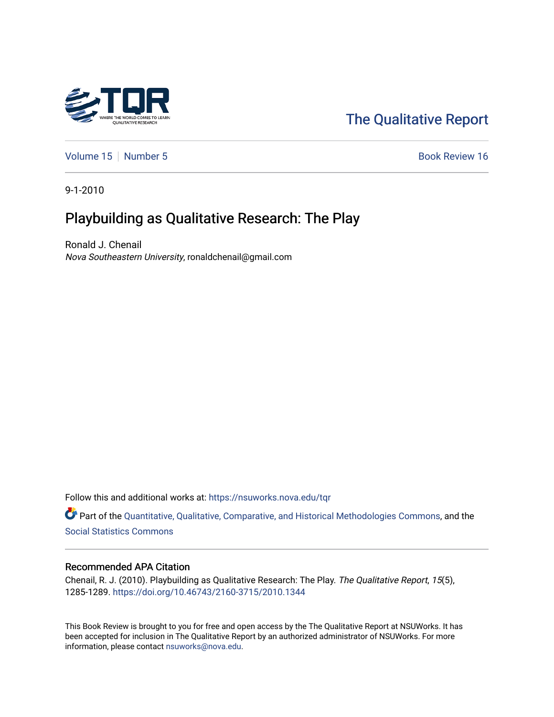

# [The Qualitative Report](https://nsuworks.nova.edu/tqr)

[Volume 15](https://nsuworks.nova.edu/tqr/vol15) [Number 5](https://nsuworks.nova.edu/tqr/vol15/iss5) Book Review 16

9-1-2010

## Playbuilding as Qualitative Research: The Play

Ronald J. Chenail Nova Southeastern University, ronaldchenail@gmail.com

Follow this and additional works at: [https://nsuworks.nova.edu/tqr](https://nsuworks.nova.edu/tqr?utm_source=nsuworks.nova.edu%2Ftqr%2Fvol15%2Fiss5%2F16&utm_medium=PDF&utm_campaign=PDFCoverPages) 

Part of the [Quantitative, Qualitative, Comparative, and Historical Methodologies Commons,](http://network.bepress.com/hgg/discipline/423?utm_source=nsuworks.nova.edu%2Ftqr%2Fvol15%2Fiss5%2F16&utm_medium=PDF&utm_campaign=PDFCoverPages) and the [Social Statistics Commons](http://network.bepress.com/hgg/discipline/1275?utm_source=nsuworks.nova.edu%2Ftqr%2Fvol15%2Fiss5%2F16&utm_medium=PDF&utm_campaign=PDFCoverPages) 

### Recommended APA Citation

Chenail, R. J. (2010). Playbuilding as Qualitative Research: The Play. The Qualitative Report, 15(5), 1285-1289. <https://doi.org/10.46743/2160-3715/2010.1344>

This Book Review is brought to you for free and open access by the The Qualitative Report at NSUWorks. It has been accepted for inclusion in The Qualitative Report by an authorized administrator of NSUWorks. For more information, please contact [nsuworks@nova.edu.](mailto:nsuworks@nova.edu)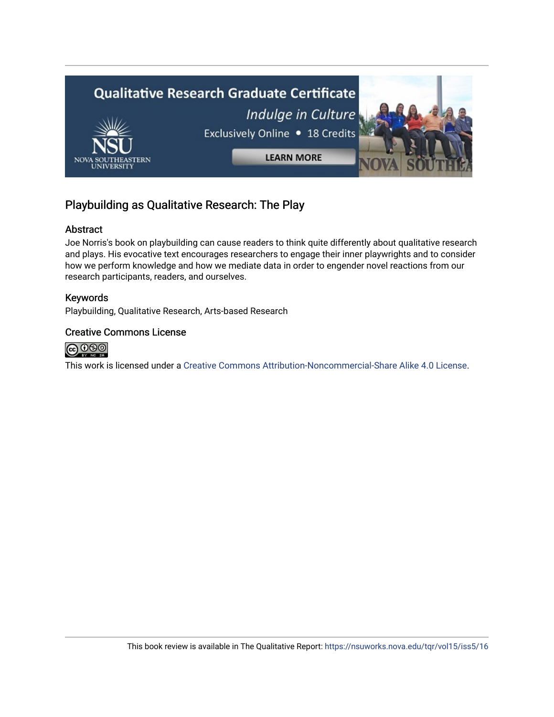

## Playbuilding as Qualitative Research: The Play

## Abstract

Joe Norris's book on playbuilding can cause readers to think quite differently about qualitative research and plays. His evocative text encourages researchers to engage their inner playwrights and to consider how we perform knowledge and how we mediate data in order to engender novel reactions from our research participants, readers, and ourselves.

## Keywords

Playbuilding, Qualitative Research, Arts-based Research

### Creative Commons License



This work is licensed under a [Creative Commons Attribution-Noncommercial-Share Alike 4.0 License](https://creativecommons.org/licenses/by-nc-sa/4.0/).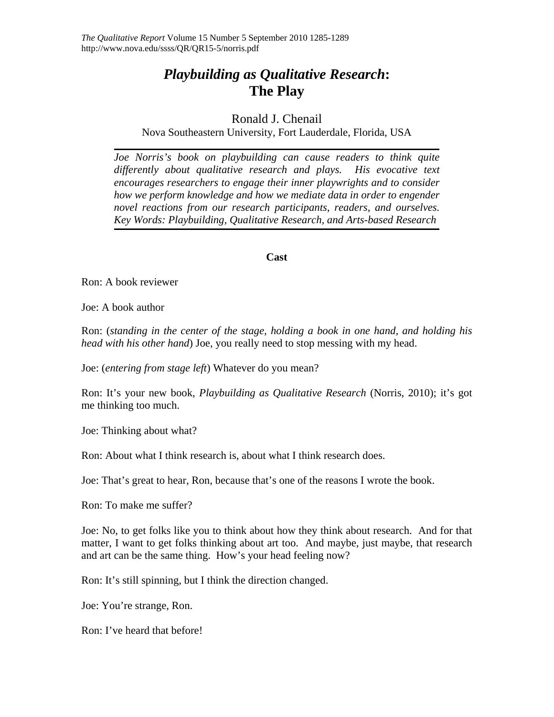## *Playbuilding as Qualitative Research***: The Play**

## Ronald J. Chenail

Nova Southeastern University, Fort Lauderdale, Florida, USA

*Joe Norris's book on playbuilding can cause readers to think quite differently about qualitative research and plays. His evocative text encourages researchers to engage their inner playwrights and to consider how we perform knowledge and how we mediate data in order to engender novel reactions from our research participants, readers, and ourselves. Key Words: Playbuilding, Qualitative Research, and Arts-based Research* 

### **Cast**

Ron: A book reviewer

Joe: A book author

Ron: (*standing in the center of the stage, holding a book in one hand, and holding his head with his other hand*) Joe, you really need to stop messing with my head.

Joe: (*entering from stage left*) Whatever do you mean?

Ron: It's your new book, *Playbuilding as Qualitative Research* (Norris, 2010); it's got me thinking too much.

Joe: Thinking about what?

Ron: About what I think research is, about what I think research does.

Joe: That's great to hear, Ron, because that's one of the reasons I wrote the book.

Ron: To make me suffer?

Joe: No, to get folks like you to think about how they think about research. And for that matter, I want to get folks thinking about art too. And maybe, just maybe, that research and art can be the same thing. How's your head feeling now?

Ron: It's still spinning, but I think the direction changed.

Joe: You're strange, Ron.

Ron: I've heard that before!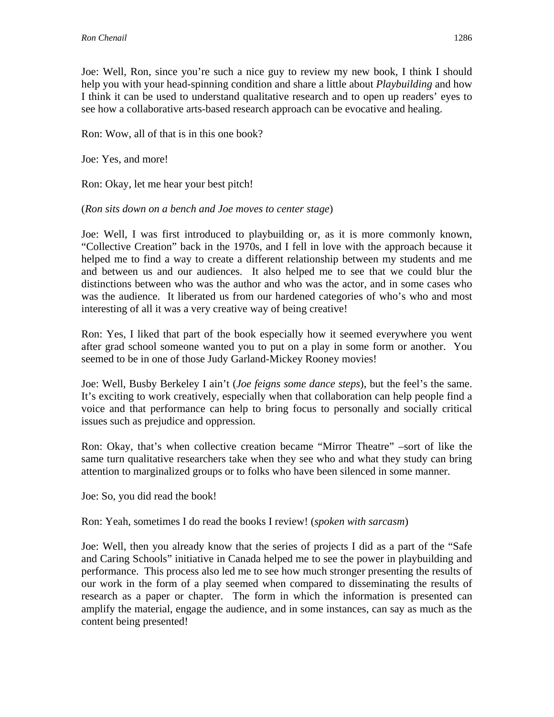Joe: Well, Ron, since you're such a nice guy to review my new book, I think I should help you with your head-spinning condition and share a little about *Playbuilding* and how I think it can be used to understand qualitative research and to open up readers' eyes to see how a collaborative arts-based research approach can be evocative and healing.

Ron: Wow, all of that is in this one book?

Joe: Yes, and more!

Ron: Okay, let me hear your best pitch!

## (*Ron sits down on a bench and Joe moves to center stage*)

Joe: Well, I was first introduced to playbuilding or, as it is more commonly known, "Collective Creation" back in the 1970s, and I fell in love with the approach because it helped me to find a way to create a different relationship between my students and me and between us and our audiences. It also helped me to see that we could blur the distinctions between who was the author and who was the actor, and in some cases who was the audience. It liberated us from our hardened categories of who's who and most interesting of all it was a very creative way of being creative!

Ron: Yes, I liked that part of the book especially how it seemed everywhere you went after grad school someone wanted you to put on a play in some form or another. You seemed to be in one of those Judy Garland-Mickey Rooney movies!

Joe: Well, Busby Berkeley I ain't (*Joe feigns some dance steps*), but the feel's the same. It's exciting to work creatively, especially when that collaboration can help people find a voice and that performance can help to bring focus to personally and socially critical issues such as prejudice and oppression.

Ron: Okay, that's when collective creation became "Mirror Theatre" –sort of like the same turn qualitative researchers take when they see who and what they study can bring attention to marginalized groups or to folks who have been silenced in some manner.

Joe: So, you did read the book!

Ron: Yeah, sometimes I do read the books I review! (*spoken with sarcasm*)

Joe: Well, then you already know that the series of projects I did as a part of the "Safe and Caring Schools" initiative in Canada helped me to see the power in playbuilding and performance. This process also led me to see how much stronger presenting the results of our work in the form of a play seemed when compared to disseminating the results of research as a paper or chapter. The form in which the information is presented can amplify the material, engage the audience, and in some instances, can say as much as the content being presented!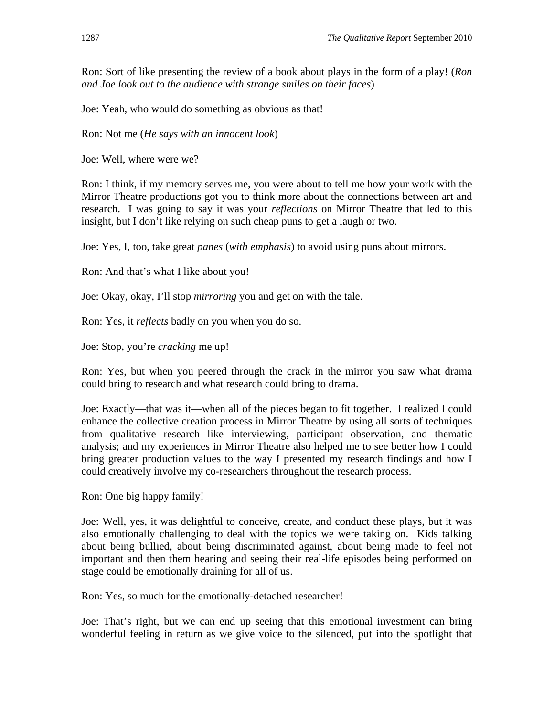Ron: Sort of like presenting the review of a book about plays in the form of a play! (*Ron and Joe look out to the audience with strange smiles on their faces*)

Joe: Yeah, who would do something as obvious as that!

Ron: Not me (*He says with an innocent look*)

Joe: Well, where were we?

Ron: I think, if my memory serves me, you were about to tell me how your work with the Mirror Theatre productions got you to think more about the connections between art and research. I was going to say it was your *reflections* on Mirror Theatre that led to this insight, but I don't like relying on such cheap puns to get a laugh or two.

Joe: Yes, I, too, take great *panes* (*with emphasis*) to avoid using puns about mirrors.

Ron: And that's what I like about you!

Joe: Okay, okay, I'll stop *mirroring* you and get on with the tale.

Ron: Yes, it *reflects* badly on you when you do so.

Joe: Stop, you're *cracking* me up!

Ron: Yes, but when you peered through the crack in the mirror you saw what drama could bring to research and what research could bring to drama.

Joe: Exactly—that was it—when all of the pieces began to fit together. I realized I could enhance the collective creation process in Mirror Theatre by using all sorts of techniques from qualitative research like interviewing, participant observation, and thematic analysis; and my experiences in Mirror Theatre also helped me to see better how I could bring greater production values to the way I presented my research findings and how I could creatively involve my co-researchers throughout the research process.

Ron: One big happy family!

Joe: Well, yes, it was delightful to conceive, create, and conduct these plays, but it was also emotionally challenging to deal with the topics we were taking on. Kids talking about being bullied, about being discriminated against, about being made to feel not important and then them hearing and seeing their real-life episodes being performed on stage could be emotionally draining for all of us.

Ron: Yes, so much for the emotionally-detached researcher!

Joe: That's right, but we can end up seeing that this emotional investment can bring wonderful feeling in return as we give voice to the silenced, put into the spotlight that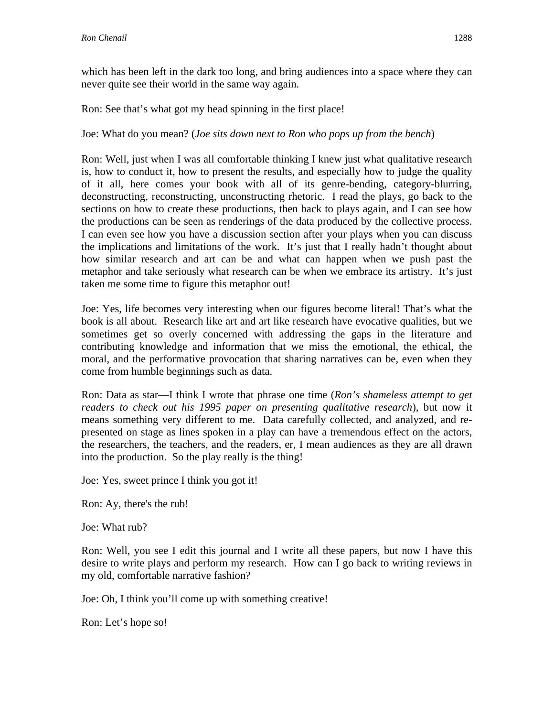which has been left in the dark too long, and bring audiences into a space where they can never quite see their world in the same way again.

Ron: See that's what got my head spinning in the first place!

Joe: What do you mean? (*Joe sits down next to Ron who pops up from the bench*)

Ron: Well, just when I was all comfortable thinking I knew just what qualitative research is, how to conduct it, how to present the results, and especially how to judge the quality of it all, here comes your book with all of its genre-bending, category-blurring, deconstructing, reconstructing, unconstructing rhetoric. I read the plays, go back to the sections on how to create these productions, then back to plays again, and I can see how the productions can be seen as renderings of the data produced by the collective process. I can even see how you have a discussion section after your plays when you can discuss the implications and limitations of the work. It's just that I really hadn't thought about how similar research and art can be and what can happen when we push past the metaphor and take seriously what research can be when we embrace its artistry. It's just taken me some time to figure this metaphor out!

Joe: Yes, life becomes very interesting when our figures become literal! That's what the book is all about. Research like art and art like research have evocative qualities, but we sometimes get so overly concerned with addressing the gaps in the literature and contributing knowledge and information that we miss the emotional, the ethical, the moral, and the performative provocation that sharing narratives can be, even when they come from humble beginnings such as data.

Ron: Data as star—I think I wrote that phrase one time (*Ron's shameless attempt to get readers to check out his 1995 paper on presenting qualitative research*), but now it means something very different to me. Data carefully collected, and analyzed, and represented on stage as lines spoken in a play can have a tremendous effect on the actors, the researchers, the teachers, and the readers, er, I mean audiences as they are all drawn into the production. So the play really is the thing!

Joe: Yes, sweet prince I think you got it!

Ron: Ay, there's the rub!

Joe: What rub?

Ron: Well, you see I edit this journal and I write all these papers, but now I have this desire to write plays and perform my research. How can I go back to writing reviews in my old, comfortable narrative fashion?

Joe: Oh, I think you'll come up with something creative!

Ron: Let's hope so!